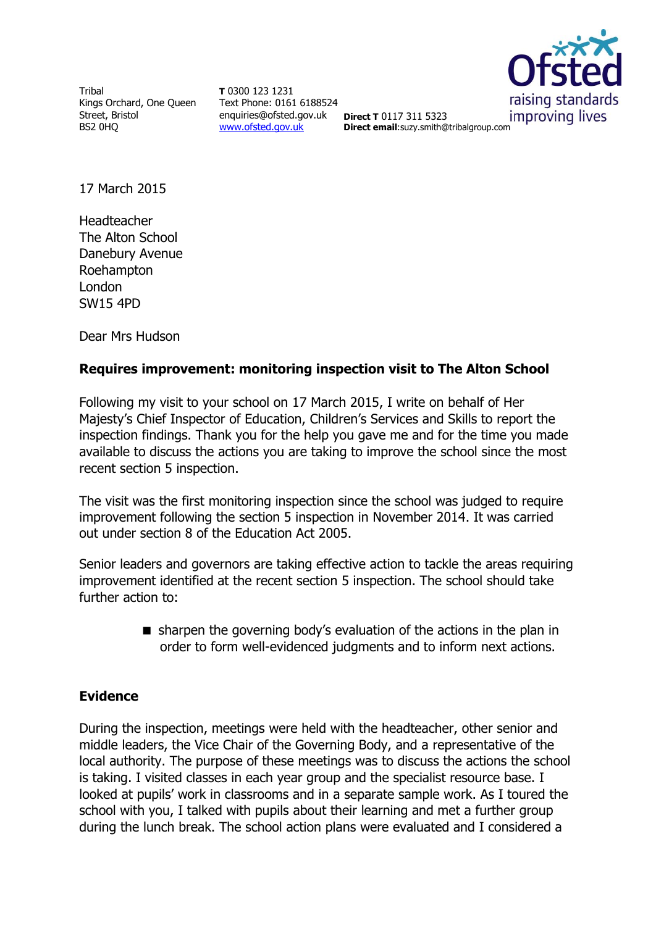Tribal Kings Orchard, One Queen Street, Bristol BS2 0HQ

**T** 0300 123 1231 Text Phone: 0161 6188524 enquiries@ofsted.gov.uk **Direct T** 0117 311 5323 [www.ofsted.gov.uk](http://www.ofsted.gov.uk/)



**Direct email**:suzy.smith@tribalgroup.com

17 March 2015

Headteacher The Alton School Danebury Avenue Roehampton London SW15 4PD

Dear Mrs Hudson

# **Requires improvement: monitoring inspection visit to The Alton School**

Following my visit to your school on 17 March 2015, I write on behalf of Her Majesty's Chief Inspector of Education, Children's Services and Skills to report the inspection findings. Thank you for the help you gave me and for the time you made available to discuss the actions you are taking to improve the school since the most recent section 5 inspection.

The visit was the first monitoring inspection since the school was judged to require improvement following the section 5 inspection in November 2014. It was carried out under section 8 of the Education Act 2005.

Senior leaders and governors are taking effective action to tackle the areas requiring improvement identified at the recent section 5 inspection. The school should take further action to:

> sharpen the governing body's evaluation of the actions in the plan in order to form well-evidenced judgments and to inform next actions.

#### **Evidence**

During the inspection, meetings were held with the headteacher, other senior and middle leaders, the Vice Chair of the Governing Body, and a representative of the local authority. The purpose of these meetings was to discuss the actions the school is taking. I visited classes in each year group and the specialist resource base. I looked at pupils' work in classrooms and in a separate sample work. As I toured the school with you, I talked with pupils about their learning and met a further group during the lunch break. The school action plans were evaluated and I considered a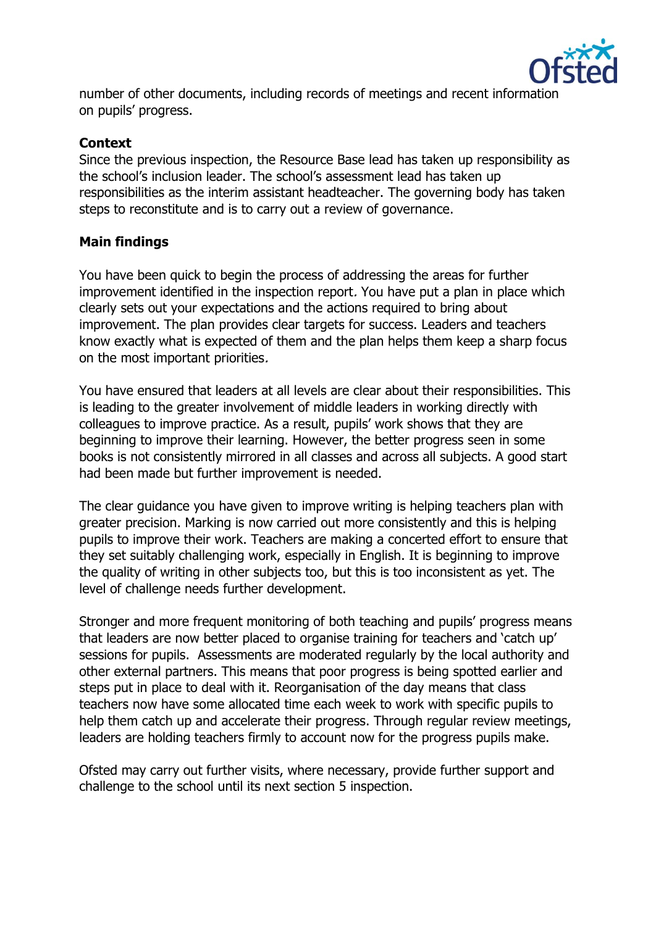

number of other documents, including records of meetings and recent information on pupils' progress.

### **Context**

Since the previous inspection, the Resource Base lead has taken up responsibility as the school's inclusion leader. The school's assessment lead has taken up responsibilities as the interim assistant headteacher. The governing body has taken steps to reconstitute and is to carry out a review of governance.

# **Main findings**

You have been quick to begin the process of addressing the areas for further improvement identified in the inspection report. You have put a plan in place which clearly sets out your expectations and the actions required to bring about improvement. The plan provides clear targets for success. Leaders and teachers know exactly what is expected of them and the plan helps them keep a sharp focus on the most important priorities.

You have ensured that leaders at all levels are clear about their responsibilities. This is leading to the greater involvement of middle leaders in working directly with colleagues to improve practice. As a result, pupils' work shows that they are beginning to improve their learning. However, the better progress seen in some books is not consistently mirrored in all classes and across all subjects. A good start had been made but further improvement is needed.

The clear guidance you have given to improve writing is helping teachers plan with greater precision. Marking is now carried out more consistently and this is helping pupils to improve their work. Teachers are making a concerted effort to ensure that they set suitably challenging work, especially in English. It is beginning to improve the quality of writing in other subjects too, but this is too inconsistent as yet. The level of challenge needs further development.

Stronger and more frequent monitoring of both teaching and pupils' progress means that leaders are now better placed to organise training for teachers and 'catch up' sessions for pupils. Assessments are moderated regularly by the local authority and other external partners. This means that poor progress is being spotted earlier and steps put in place to deal with it. Reorganisation of the day means that class teachers now have some allocated time each week to work with specific pupils to help them catch up and accelerate their progress. Through regular review meetings, leaders are holding teachers firmly to account now for the progress pupils make.

Ofsted may carry out further visits, where necessary, provide further support and challenge to the school until its next section 5 inspection.